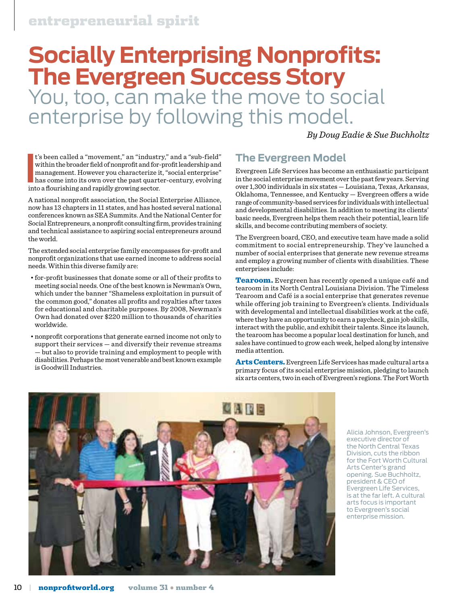# **Socially Enterprising Nonprofits: The Evergreen Success Story** You, too, can make the move to social enterprise by following this model.

*By Doug Eadie & Sue Buchholtz*

It's been called a "movement," an "industry within the broader field of nonprofit and for-<br>management. However you characterize it has come into its own over the past quart<br>into a flourishing and rapidly growing sector. t's been called a "movement," an "industry," and a "sub-field" within the broader field of nonprofit and for-profit leadership and management. However you characterize it, "social enterprise" has come into its own over the past quarter-century, evolving

A national nonprofit association, the Social Enterprise Alliance, now has 13 chapters in 11 states, and has hosted several national conferences known as SEA Summits. And the National Center for Social Entrepreneurs, a nonprofit consulting firm, provides training and technical assistance to aspiring social entrepreneurs around the world.

The extended social enterprise family encompasses for-profit and nonprofit organizations that use earned income to address social needs. Within this diverse family are:

- for-profit businesses that donate some or all of their profits to meeting social needs. One of the best known is Newman's Own, which under the banner "Shameless exploitation in pursuit of the common good," donates all profits and royalties after taxes for educational and charitable purposes. By 2008, Newman's Own had donated over \$220 million to thousands of charities worldwide.
- nonprofit corporations that generate earned income not only to support their services — and diversify their revenue streams — but also to provide training and employment to people with disabilities. Perhaps the most venerable and best known example is Goodwill Industries.

# **The Evergreen Model**

Evergreen Life Services has become an enthusiastic participant in the social enterprise movement over the past few years. Serving over 1,300 individuals in six states — Louisiana, Texas, Arkansas, Oklahoma, Tennessee, and Kentucky — Evergreen offers a wide range of community-based services for individuals with intellectual and developmental disabilities. In addition to meeting its clients' basic needs, Evergreen helps them reach their potential, learn life skills, and become contributing members of society.

The Evergreen board, CEO, and executive team have made a solid commitment to social entrepreneurship. They've launched a number of social enterprises that generate new revenue streams and employ a growing number of clients with disabilities. These enterprises include:

Tearoom. Evergreen has recently opened a unique café and tearoom in its North Central Louisiana Division. The Timeless Tearoom and Café is a social enterprise that generates revenue while offering job training to Evergreen's clients. Individuals with developmental and intellectual disabilities work at the café, where they have an opportunity to earn a paycheck, gain job skills, interact with the public, and exhibit their talents. Since its launch, the tearoom has become a popular local destination for lunch, and sales have continued to grow each week, helped along by intensive media attention.

Arts Centers. Evergreen Life Services has made cultural arts a primary focus of its social enterprise mission, pledging to launch six arts centers, two in each of Evergreen's regions. The Fort Worth



Alicia Johnson, Evergreen's executive director of the North Central Texas Division, cuts the ribbon for the Fort Worth Cultural Arts Center's grand opening. Sue Buchholtz, president & CEO of Evergreen Life Services, is at the far left. A cultural arts focus is important to Evergreen's social enterprise mission.